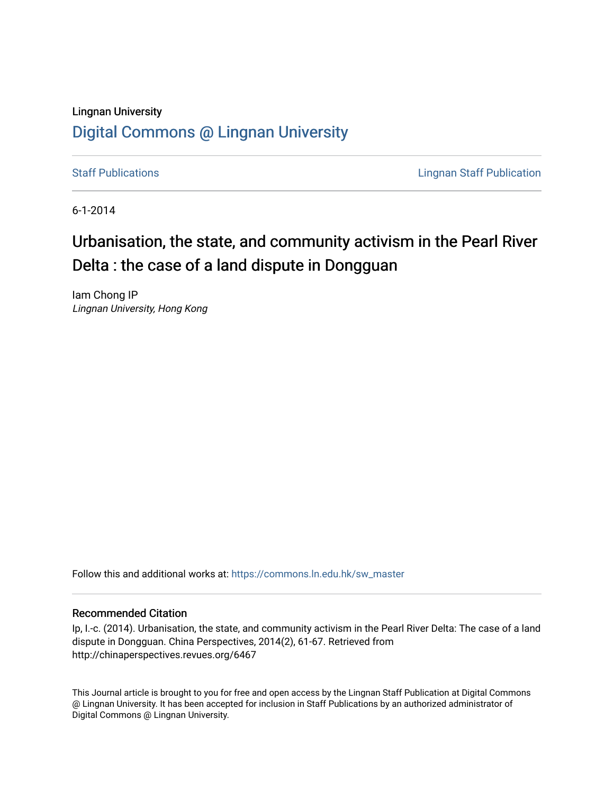# Lingnan University [Digital Commons @ Lingnan University](https://commons.ln.edu.hk/)

[Staff Publications](https://commons.ln.edu.hk/sw_master) **Staff Publications Lingnan Staff Publication** 

6-1-2014

# Urbanisation, the state, and community activism in the Pearl River Delta : the case of a land dispute in Dongguan

Iam Chong IP Lingnan University, Hong Kong

Follow this and additional works at: [https://commons.ln.edu.hk/sw\\_master](https://commons.ln.edu.hk/sw_master?utm_source=commons.ln.edu.hk%2Fsw_master%2F2289&utm_medium=PDF&utm_campaign=PDFCoverPages) 

#### Recommended Citation

Ip, I.-c. (2014). Urbanisation, the state, and community activism in the Pearl River Delta: The case of a land dispute in Dongguan. China Perspectives, 2014(2), 61-67. Retrieved from http://chinaperspectives.revues.org/6467

This Journal article is brought to you for free and open access by the Lingnan Staff Publication at Digital Commons @ Lingnan University. It has been accepted for inclusion in Staff Publications by an authorized administrator of Digital Commons @ Lingnan University.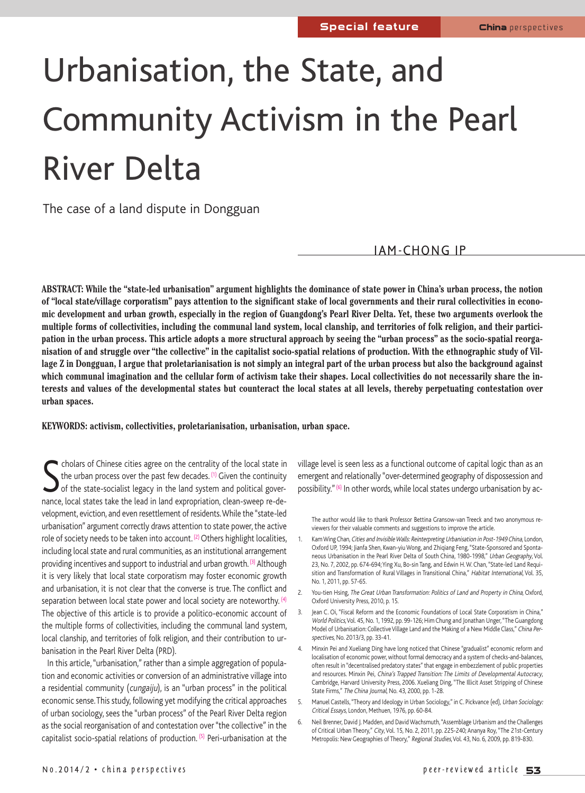# Urbanisation, the State, and Community Activism in the Pearl River Delta

The case of a land dispute in Dongguan

IAM-CHONG IP

ABSTRACT: While the "state-led urbanisation" argument highlights the dominance of state power in China's urban process, the notion of "local state/village corporatism" pays attention to the significant stake of local governments and their rural collectivities in economic development and urban growth, especially in the region of Guangdong's Pearl River Delta. Yet, these two arguments overlook the multiple forms of collectivities, including the communal land system, local clanship, and territories of folk religion, and their participation in the urban process. This article adopts a more structural approach by seeing the "urban process" as the socio-spatial reorganisation of and struggle over "the collective" in the capitalist socio-spatial relations of production. With the ethnographic study of Village Z in Dongguan, I argue that proletarianisation is not simply an integral part of the urban process but also the background against which communal imagination and the cellular form of activism take their shapes. Local collectivities do not necessarily share the interests and values of the developmental states but counteract the local states at all levels, thereby perpetuating contestation over **urban spaces.**

#### **KEYWORDS: activism, collectivities, proletarianisation, urbanisation, urban space.**

S cholars of Chinese cities agree on the centrality of the local state in the urban process over the past few decades. (1) Given the continuity of the state-socialist legacy in the land system and political governance, loc cholars of Chinese cities agree on the centrality of the local state in the urban process over the past few decades. (1) Given the continuity of the state-socialist legacy in the land system and political govervelopment, eviction, and even resettlement of residents.While the "state-led urbanisation" argument correctly draws attention to state power, the active role of society needs to be taken into account.<sup>(2)</sup> Others highlight localities, including local state and rural communities, as an institutional arrangement providing incentives and support to industrial and urban growth. (3) Although it is very likely that local state corporatism may foster economic growth and urbanisation, it is not clear that the converse is true. The conflict and separation between local state power and local society are noteworthy.<sup>(4)</sup> The objective of this article is to provide a politico-economic account of the multiple forms of collectivities, including the communal land system, local clanship, and territories of folk religion, and their contribution to urbanisation in the Pearl River Delta (PRD).

In this article, "urbanisation," rather than a simple aggregation of population and economic activities or conversion of an administrative village into a residential community (cungaiju), is an "urban process" in the political economic sense.This study, following yet modifying the critical approaches of urban sociology, sees the "urban process" of the Pearl River Delta region as the social reorganisation of and contestation over "the collective" in the capitalist socio-spatial relations of production. (5) Peri-urbanisation at the

village level is seen less as a functional outcome of capital logic than as an emergent and relationally "over-determined geography of dispossession and possibility." (6) In other words, while local states undergo urbanisation by ac-

The author would like to thank Professor Bettina Gransow-van Treeck and two anonymous reviewers for their valuable comments and suggestions to improve the article.

- 1. Kam Wing Chan, Cities and Invisible Walls: Reinterpreting Urbanisation in Post-1949 China, London, Oxford UP, 1994; Jianfa Shen, Kwan-yiu Wong, and Zhiqiang Feng, "State-Sponsored and Spontaneous Urbanisation in the Pearl River Delta of South China, 1980-1998," Urban Geography,Vol. 23, No. 7, 2002, pp. 674-694; Ying Xu, Bo-sin Tang, and Edwin H. W. Chan, "State-led Land Requisition and Transformation of Rural Villages in Transitional China," Habitat International, Vol. 35, No. 1, 2011, pp. 57-65.
- 2. You-tien Hsing, The Great Urban Transformation: Politics of Land and Property in China, Oxford, Oxford University Press, 2010, p. 15.
- 3. Jean C. Oi, "Fiscal Reform and the Economic Foundations of Local State Corporatism in China," World Politics, Vol. 45, No. 1, 1992, pp. 99-126; Him Chung and Jonathan Unger, "The Guangdong Model of Urbanisation: Collective Village Land and the Making of a New Middle Class," China Perspectives, No. 2013/3, pp. 33-41.
- 4. Minxin Pei and Xueliang Ding have long noticed that Chinese "gradualist" economic reform and localisation of economic power, without formal democracy and a system of checks-and-balances, often result in "decentralised predatory states"that engage in embezzlement of public properties and resources. Minxin Pei, China's Trapped Transition: The Limits of Developmental Autocracy, Cambridge, Harvard University Press, 2006. Xueliang Ding,"The Illicit Asset Stripping of Chinese State Firms," The China Journal, No. 43, 2000, pp. 1-28.
- 5. Manuel Castells, "Theory and Ideology in Urban Sociology," in C. Pickvance (ed), Urban Sociology: Critical Essays, London, Methuen, 1976, pp. 60-84.
- 6. Neil Brenner, David J. Madden, and DavidWachsmuth,"Assemblage Urbanism and the Challenges of Critical Urban Theory," City,Vol. 15, No. 2, 2011, pp. 225-240; Ananya Roy,"The 21st-Century Metropolis: New Geographies of Theory," Regional Studies, Vol. 43, No. 6, 2009, pp. 819-830.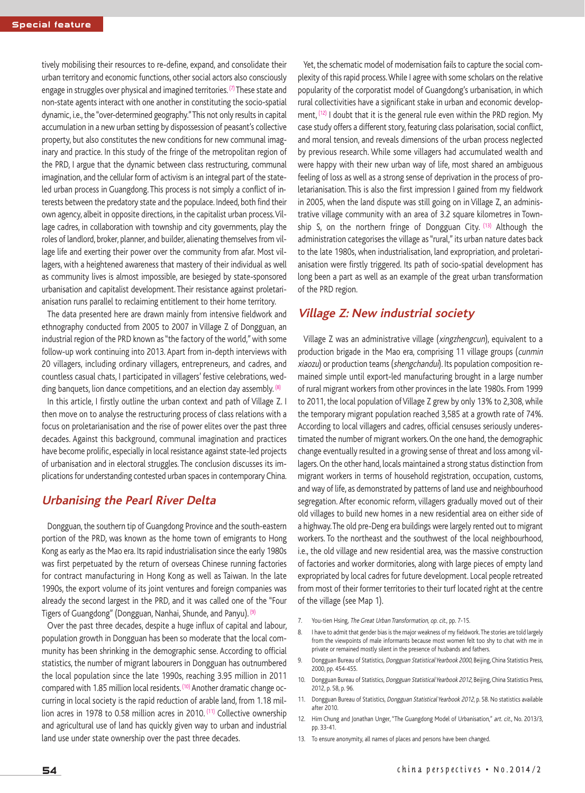tively mobilising their resources to re-define, expand, and consolidate their urban territory and economic functions, other social actors also consciously engage in struggles over physical and imagined territories.  $(7)$  These state and non-state agents interact with one another in constituting the socio-spatial dynamic, i.e., the "over-determined geography." This not only results in capital accumulation in a new urban setting by dispossession of peasant's collective property, but also constitutes the new conditions for new communal imaginary and practice. In this study of the fringe of the metropolitan region of the PRD, I argue that the dynamic between class restructuring, communal imagination, and the cellular form of activism is an integral part of the stateled urban process in Guangdong. This process is not simply a conflict of interests between the predatory state and the populace. Indeed, both find their own agency, albeit in opposite directions, in the capitalist urban process.Village cadres, in collaboration with township and city governments, play the roles of landlord, broker, planner, and builder, alienating themselves from village life and exerting their power over the community from afar. Most villagers, with a heightened awareness that mastery of their individual as well as community lives is almost impossible, are besieged by state-sponsored urbanisation and capitalist development. Their resistance against proletarianisation runs parallel to reclaiming entitlement to their home territory.

The data presented here are drawn mainly from intensive fieldwork and ethnography conducted from 2005 to 2007 in Village Z of Dongguan, an industrial region of the PRD known as "the factory of the world," with some follow-up work continuing into 2013. Apart from in-depth interviews with 20 villagers, including ordinary villagers, entrepreneurs, and cadres, and countless casual chats, I participated in villagers' festive celebrations, wedding banquets, lion dance competitions, and an election day assembly. <sup>(8)</sup>

In this article, I firstly outline the urban context and path of Village Z. I then move on to analyse the restructuring process of class relations with a focus on proletarianisation and the rise of power elites over the past three decades. Against this background, communal imagination and practices have become prolific, especially in local resistance against state-led projects of urbanisation and in electoral struggles. The conclusion discusses its implications for understanding contested urban spaces in contemporary China.

#### **Urbanising the Pearl River Delta**

Dongguan, the southern tip of Guangdong Province and the south-eastern portion of the PRD, was known as the home town of emigrants to Hong Kong as early as the Mao era. Its rapid industrialisation since the early 1980s was first perpetuated by the return of overseas Chinese running factories for contract manufacturing in Hong Kong as well as Taiwan. In the late 1990s, the export volume of its joint ventures and foreign companies was already the second largest in the PRD, and it was called one of the "Four Tigers of Guangdong" (Dongguan, Nanhai, Shunde, and Panyu). (9)

Over the past three decades, despite a huge influx of capital and labour, population growth in Dongguan has been so moderate that the local community has been shrinking in the demographic sense. According to official statistics, the number of migrant labourers in Dongguan has outnumbered the local population since the late 1990s, reaching 3.95 million in 2011 compared with 1.85 million local residents. (10) Another dramatic change occurring in local society is the rapid reduction of arable land, from 1.18 million acres in 1978 to 0.58 million acres in 2010. (11) Collective ownership and agricultural use of land has quickly given way to urban and industrial land use under state ownership over the past three decades.

Yet, the schematic model of modernisation fails to capture the social complexity of this rapid process.While I agree with some scholars on the relative popularity of the corporatist model of Guangdong's urbanisation, in which rural collectivities have a significant stake in urban and economic development, <sup>(12)</sup> I doubt that it is the general rule even within the PRD region. My case study offers a different story, featuring class polarisation, social conflict, and moral tension, and reveals dimensions of the urban process neglected by previous research. While some villagers had accumulated wealth and were happy with their new urban way of life, most shared an ambiguous feeling of loss as well as a strong sense of deprivation in the process of proletarianisation. This is also the first impression I gained from my fieldwork in 2005, when the land dispute was still going on in Village Z, an administrative village community with an area of 3.2 square kilometres in Township S, on the northern fringe of Dongguan City.  $(13)$  Although the administration categorises the village as "rural," its urban nature dates back to the late 1980s, when industrialisation, land expropriation, and proletarianisation were firstly triggered. Its path of socio-spatial development has long been a part as well as an example of the great urban transformation of the PRD region.

#### **Village Z: New industrial society**

Village Z was an administrative village (xingzhengcun), equivalent to a production brigade in the Mao era, comprising 11 village groups (cunmin xiaozu) or production teams (shengchandui). Its population composition remained simple until export-led manufacturing brought in a large number of rural migrant workers from other provinces in the late 1980s. From 1999 to 2011, the local population of Village Z grew by only 13% to 2,308, while the temporary migrant population reached 3,585 at a growth rate of 74%. According to local villagers and cadres, official censuses seriously underestimated the number of migrant workers.On the one hand, the demographic change eventually resulted in a growing sense of threat and loss among villagers.On the other hand, locals maintained a strong status distinction from migrant workers in terms of household registration, occupation, customs, and way of life, as demonstrated by patterns of land use and neighbourhood segregation. After economic reform, villagers gradually moved out of their old villages to build new homes in a new residential area on either side of a highway.The old pre-Deng era buildings were largely rented out to migrant workers. To the northeast and the southwest of the local neighbourhood, i.e., the old village and new residential area, was the massive construction of factories and worker dormitories, along with large pieces of empty land expropriated by local cadres for future development. Local people retreated from most of their former territories to their turf located right at the centre of the village (see Map 1).

- 7. You-tien Hsing, The Great Urban Transformation, op. cit., pp. 7-15.
- 8. I have to admit that gender bias is the major weakness of my fieldwork. The stories are told largely from the viewpoints of male informants because most women felt too shy to chat with me in private or remained mostly silent in the presence of husbands and fathers
- 9. Dongguan Bureau of Statistics, Dongguan Statistical Yearbook 2000, Beijing, China Statistics Press, 2000, pp. 454-455.
- Dongguan Bureau of Statistics, Dongguan Statistical Yearbook 2012, Beijing, China Statistics Press, 2012, p. 58, p. 96.
- 11. Dongguan Bureau of Statistics, Dongguan Statistical Yearbook 2012, p. 58. No statistics available after 2010.
- 12. Him Chung and Jonathan Unger, "The Guangdong Model of Urbanisation," art. cit., No. 2013/3, pp. 33-41.
- 13. To ensure anonymity, all names of places and persons have been changed.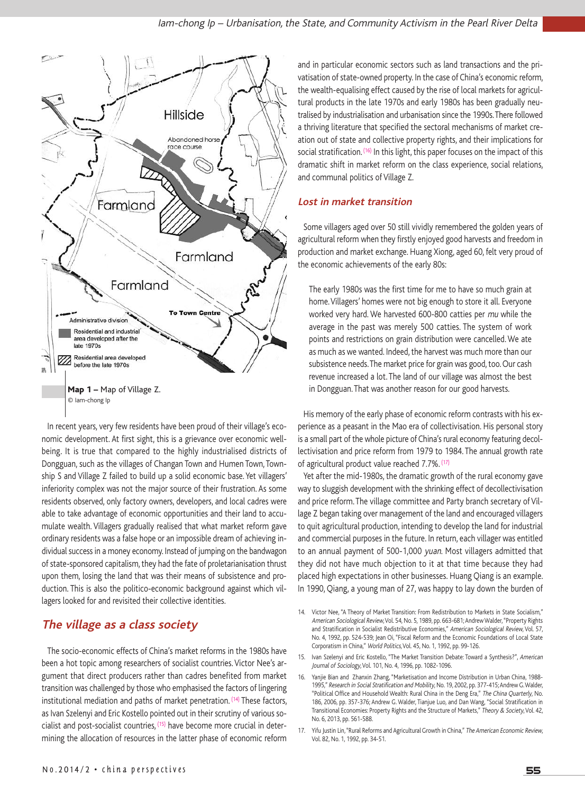

In recent years, very few residents have been proud of their village's economic development. At first sight, this is a grievance over economic wellbeing. It is true that compared to the highly industrialised districts of Dongguan, such as the villages of Changan Town and Humen Town, Township S and Village Z failed to build up a solid economic base. Yet villagers' inferiority complex was not the major source of their frustration. As some residents observed, only factory owners, developers, and local cadres were able to take advantage of economic opportunities and their land to accumulate wealth. Villagers gradually realised that what market reform gave ordinary residents was a false hope or an impossible dream of achieving individual success in a money economy. Instead of jumping on the bandwagon of state-sponsored capitalism, they had the fate of proletarianisation thrust upon them, losing the land that was their means of subsistence and production. This is also the politico-economic background against which villagers looked for and revisited their collective identities.

## **The village as <sup>a</sup> class society**

The socio-economic effects of China's market reforms in the 1980s have been a hot topic among researchers of socialist countries. Victor Nee's argument that direct producers rather than cadres benefited from market transition was challenged by those who emphasised the factors of lingering institutional mediation and paths of market penetration. <sup>(14)</sup> These factors, as Ivan Szelenyi and Eric Kostello pointed out in their scrutiny of various socialist and post-socialist countries, (15) have become more crucial in determining the allocation of resources in the latter phase of economic reform

and in particular economic sectors such as land transactions and the privatisation of state-owned property. In the case of China's economic reform, the wealth-equalising effect caused by the rise of local markets for agricultural products in the late 1970s and early 1980s has been gradually neutralised by industrialisation and urbanisation since the 1990s.There followed a thriving literature that specified the sectoral mechanisms of market creation out of state and collective property rights, and their implications for social stratification. (16) In this light, this paper focuses on the impact of this dramatic shift in market reform on the class experience, social relations, and communal politics of Village Z.

#### **Lost in market transition**

Some villagers aged over 50 still vividly remembered the golden years of agricultural reform when they firstly enjoyed good harvests and freedom in production and market exchange. Huang Xiong, aged 60, felt very proud of the economic achievements of the early 80s:

The early 1980s was the first time for me to have so much grain at home.Villagers' homes were not big enough to store it all. Everyone worked very hard. We harvested 600-800 catties per mu while the average in the past was merely 500 catties. The system of work points and restrictions on grain distribution were cancelled. We ate as much as we wanted. Indeed, the harvest was much more than our subsistence needs. The market price for grain was good, too. Our cash revenue increased a lot. The land of our village was almost the best in Dongguan. That was another reason for our good harvests.

His memory of the early phase of economic reform contrasts with his experience as a peasant in the Mao era of collectivisation. His personal story is a small part of the whole picture of China's rural economy featuring decollectivisation and price reform from 1979 to 1984. The annual growth rate of agricultural product value reached 7.7%. (17)

Yet after the mid-1980s, the dramatic growth of the rural economy gave way to sluggish development with the shrinking effect of decollectivisation and price reform. The village committee and Party branch secretary of Village Z began taking over management of the land and encouraged villagers to quit agricultural production, intending to develop the land for industrial and commercial purposes in the future. In return, each villager was entitled to an annual payment of 500-1,000 yuan. Most villagers admitted that they did not have much objection to it at that time because they had placed high expectations in other businesses. Huang Qiang is an example. In 1990, Qiang, a young man of 27, was happy to lay down the burden of

- 15. Ivan Szelenyi and Eric Kostello, "The Market Transition Debate: Toward a Synthesis?", American Journal of Sociology,Vol. 101, No. 4, 1996, pp. 1082-1096.
- 16. Yanjie Bian and Zhanxin Zhang,"Marketisation and Income Distribution in Urban China, 1988- 1995," Research in Social Stratification and Mobility, No. 19, 2002, pp. 377-415; Andrew G. Walder, "Political Office and Household Wealth: Rural China in the Deng Era," The China Quarterly, No. 186, 2006, pp. 357-376; Andrew G. Walder, Tianjue Luo, and Dan Wang,"Social Stratification in Transitional Economies: Property Rights and the Structure of Markets," Theory & Society, Vol. 42, No. 6, 2013, pp. 561-588.
- 17. Yifu Justin Lin, "Rural Reforms and Agricultural Growth in China," The American Economic Review, Vol. 82, No. 1, 1992, pp. 34-51.

<sup>14.</sup> Victor Nee, "A Theory of Market Transition: From Redistribution to Markets in State Socialism," American Sociological Review, Vol. 54, No. 5, 1989, pp. 663-681; Andrew Walder, "Property Rights and Stratification in Socialist Redistributive Economies," American Sociological Review, Vol. 57, No. 4, 1992, pp. 524-539; Jean Oi, "Fiscal Reform and the Economic Foundations of Local State Corporatism in China," World Politics, Vol. 45, No. 1, 1992, pp. 99-126.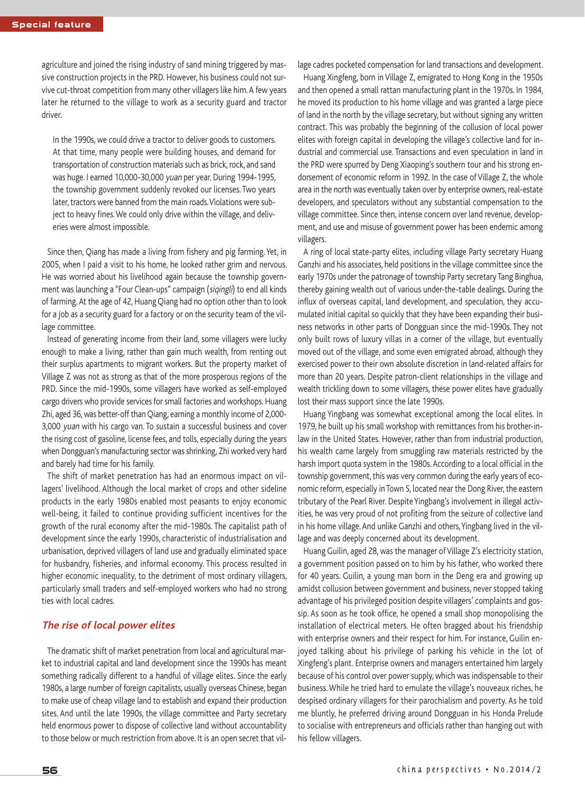agriculture and joined the rising industry of sand mining triggered by massive construction projects in the PRD. However, his business could not survive cut-throat competition from many other villagers like him.A few years later he returned to the village to work as a security guard and tractor driver.

In the 1990s, we could drive a tractor to deliver goods to customers. At that time, many people were building houses, and demand for transportation of construction materials such as brick, rock, and sand was huge. I earned 10,000-30,000 yuan per year. During 1994-1995, the township government suddenly revoked our licenses. Two years later, tractors were banned from the main roads. Violations were subject to heavy fines. We could only drive within the village, and deliveries were almost impossible.

Since then, Qiang has made a living from fishery and pig farming. Yet, in 2005, when I paid a visit to his home, he looked rather grim and nervous. He was worried about his livelihood again because the township government was launching a "Four Clean-ups" campaign (siqingli) to end all kinds of farming.At the age of 42, Huang Qiang had no option other than to look for a job as a security guard for a factory or on the security team of the village committee.

Instead of generating income from their land, some villagers were lucky enough to make a living, rather than gain much wealth, from renting out their surplus apartments to migrant workers. But the property market of Village Z was not as strong as that of the more prosperous regions of the PRD. Since the mid-1990s, some villagers have worked as self-employed cargo drivers who provide services for small factories and workshops. Huang Zhi, aged 36, was better-off than Qiang, earning a monthly income of 2,000-3,000 yuan with his cargo van. To sustain a successful business and cover the rising cost of gasoline, license fees, and tolls, especially during the years when Dongguan's manufacturing sector was shrinking, Zhi worked very hard and barely had time for his family.

The shift of market penetration has had an enormous impact on villagers' livelihood. Although the local market of crops and other sideline products in the early 1980s enabled most peasants to enjoy economic well-being, it failed to continue providing sufficient incentives for the growth of the rural economy after the mid-1980s. The capitalist path of development since the early 1990s, characteristic of industrialisation and urbanisation, deprived villagers of land use and gradually eliminated space for husbandry, fisheries, and informal economy. This process resulted in higher economic inequality, to the detriment of most ordinary villagers, particularly small traders and self-employed workers who had no strong ties with local cadres.

#### **The rise of local power elites**

The dramatic shift of market penetration from local and agricultural market to industrial capital and land development since the 1990s has meant something radically different to a handful of village elites. Since the early 1980s, a large number of foreign capitalists, usually overseas Chinese, began to make use of cheap village land to establish and expand their production sites. And until the late 1990s, the village committee and Party secretary held enormous power to dispose of collective land without accountability to those below or much restriction from above. It is an open secret that village cadres pocketed compensation for land transactions and development.

Huang Xingfeng, born in Village Z, emigrated to Hong Kong in the 1950s and then opened a small rattan manufacturing plant in the 1970s. In 1984, he moved its production to his home village and was granted a large piece of land in the north by the village secretary, but without signing any written contract. This was probably the beginning of the collusion of local power elites with foreign capital in developing the village's collective land for industrial and commercial use. Transactions and even speculation in land in the PRD were spurred by Deng Xiaoping's southern tour and his strong endorsement of economic reform in 1992. In the case of Village Z, the whole area in the north was eventually taken over by enterprise owners, real-estate developers, and speculators without any substantial compensation to the village committee. Since then, intense concern over land revenue, development, and use and misuse of government power has been endemic among villagers.

A ring of local state-party elites, including village Party secretary Huang Ganzhi and his associates, held positions in the village committee since the early 1970s under the patronage of township Party secretary Tang Binghua, thereby gaining wealth out of various under-the-table dealings. During the influx of overseas capital, land development, and speculation, they accumulated initial capital so quickly that they have been expanding their business networks in other parts of Dongguan since the mid-1990s. They not only built rows of luxury villas in a corner of the village, but eventually moved out of the village, and some even emigrated abroad, although they exercised power to their own absolute discretion in land-related affairs for more than 20 years. Despite patron-client relationships in the village and wealth trickling down to some villagers, these power elites have gradually lost their mass support since the late 1990s.

Huang Yingbang was somewhat exceptional among the local elites. In 1979, he built up his small workshop with remittances from his brother-inlaw in the United States. However, rather than from industrial production, his wealth came largely from smuggling raw materials restricted by the harsh import quota system in the 1980s. According to a local official in the township government, this was very common during the early years of economic reform, especially inTown S, located near the Dong River, the eastern tributary of the Pearl River. Despite Yingbang's involvement in illegal activities, he was very proud of not profiting from the seizure of collective land in his home village. And unlike Ganzhi and others, Yingbang lived in the village and was deeply concerned about its development.

Huang Guilin, aged 28, was the manager of Village Z's electricity station, a government position passed on to him by his father, who worked there for 40 years. Guilin, a young man born in the Deng era and growing up amidst collusion between government and business, never stopped taking advantage of his privileged position despite villagers' complaints and gossip. As soon as he took office, he opened a small shop monopolising the installation of electrical meters. He often bragged about his friendship with enterprise owners and their respect for him. For instance, Guilin enjoyed talking about his privilege of parking his vehicle in the lot of Xingfeng's plant. Enterprise owners and managers entertained him largely because of his control over power supply, which was indispensable to their business.While he tried hard to emulate the village's nouveaux riches, he despised ordinary villagers for their parochialism and poverty. As he told me bluntly, he preferred driving around Dongguan in his Honda Prelude to socialise with entrepreneurs and officials rather than hanging out with his fellow villagers.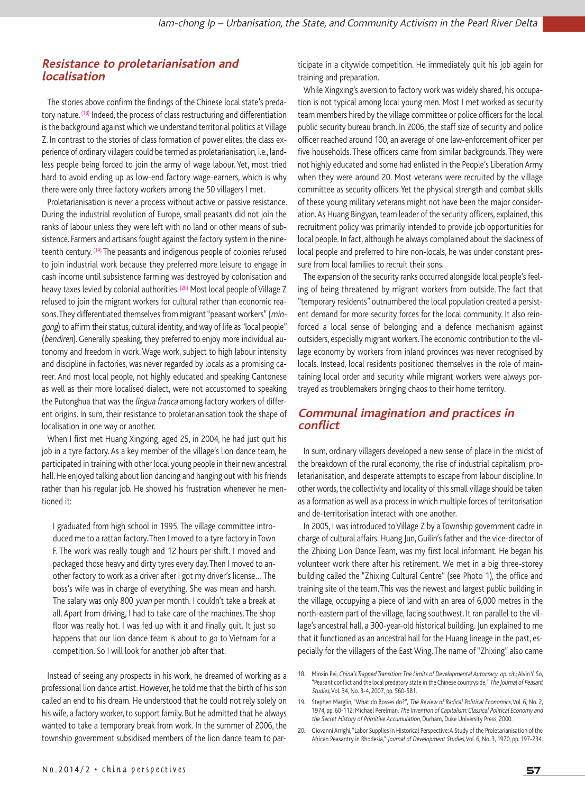#### **Resistance to proletarianisation and localisation**

The stories above confirm the findings of the Chinese local state's predatory nature. (18) Indeed, the process of class restructuring and differentiation is the background against which we understand territorial politics at Village Z. In contrast to the stories of class formation of power elites, the class experience of ordinary villagers could be termed as proletarianisation, i.e., landless people being forced to join the army of wage labour. Yet, most tried hard to avoid ending up as low-end factory wage-earners, which is why there were only three factory workers among the 50 villagers I met.

Proletarianisation is never a process without active or passive resistance. During the industrial revolution of Europe, small peasants did not join the ranks of labour unless they were left with no land or other means of subsistence. Farmers and artisans fought against the factory system in the nineteenth century. (19) The peasants and indigenous people of colonies refused to join industrial work because they preferred more leisure to engage in cash income until subsistence farming was destroyed by colonisation and heavy taxes levied by colonial authorities. (20) Most local people of Village Z refused to join the migrant workers for cultural rather than economic reasons. They differentiated themselves from migrant "peasant workers" (mingong) to affirm their status, cultural identity, and way of life as "local people" (bendiren). Generally speaking, they preferred to enjoy more individual autonomy and freedom in work.Wage work, subject to high labour intensity and discipline in factories, was never regarded by locals as a promising career. And most local people, not highly educated and speaking Cantonese as well as their more localised dialect, were not accustomed to speaking the Putonghua that was the lingua franca among factory workers of different origins. In sum, their resistance to proletarianisation took the shape of localisation in one way or another.

When I first met Huang Xingxing, aged 25, in 2004, he had just quit his job in a tyre factory. As a key member of the village's lion dance team, he participated in training with other local young people in their new ancestral hall. He enjoyed talking about lion dancing and hanging out with his friends rather than his regular job. He showed his frustration whenever he mentioned it:

I graduated from high school in 1995. The village committee introduced me to a rattan factory.Then I moved to a tyre factory in Town F. The work was really tough and 12 hours per shift. I moved and packaged those heavy and dirty tyres every day.Then I moved to another factory to work as a driver after I got my driver's license…The boss's wife was in charge of everything. She was mean and harsh. The salary was only 800 yuan per month. I couldn't take a break at all. Apart from driving, I had to take care of the machines. The shop floor was really hot. I was fed up with it and finally quit. It just so happens that our lion dance team is about to go to Vietnam for a competition. So I will look for another job after that.

Instead of seeing any prospects in his work, he dreamed of working as a professional lion dance artist. However, he told me that the birth of his son called an end to his dream. He understood that he could not rely solely on his wife, a factory worker, to support family. But he admitted that he always wanted to take a temporary break from work. In the summer of 2006, the township government subsidised members of the lion dance team to participate in a citywide competition. He immediately quit his job again for training and preparation.

While Xingxing's aversion to factory work was widely shared, his occupation is not typical among local young men. Most I met worked as security team members hired by the village committee or police officers for the local public security bureau branch. In 2006, the staff size of security and police officer reached around 100, an average of one law-enforcement officer per five households. These officers came from similar backgrounds. They were not highly educated and some had enlisted in the People's Liberation Army when they were around 20. Most veterans were recruited by the village committee as security officers. Yet the physical strength and combat skills of these young military veterans might not have been the major consideration.As Huang Bingyan, team leader of the security officers, explained, this recruitment policy was primarily intended to provide job opportunities for local people. In fact, although he always complained about the slackness of local people and preferred to hire non-locals, he was under constant pressure from local families to recruit their sons.

The expansion of the security ranks occurred alongside local people's feeling of being threatened by migrant workers from outside. The fact that "temporary residents" outnumbered the local population created a persistent demand for more security forces for the local community. It also reinforced a local sense of belonging and a defence mechanism against outsiders, especially migrant workers.The economic contribution to the village economy by workers from inland provinces was never recognised by locals. Instead, local residents positioned themselves in the role of maintaining local order and security while migrant workers were always portrayed as troublemakers bringing chaos to their home territory.

#### **Communal imagination and practices in conflict**

In sum, ordinary villagers developed a new sense of place in the midst of the breakdown of the rural economy, the rise of industrial capitalism, proletarianisation, and desperate attempts to escape from labour discipline. In other words, the collectivity and locality of this small village should be taken as a formation as well as a process in which multiple forces of territorisation and de-territorisation interact with one another.

In 2005, I was introduced to Village Z by a Township government cadre in charge of cultural affairs. Huang Jun,Guilin's father and the vice-director of the Zhixing Lion Dance Team, was my first local informant. He began his volunteer work there after his retirement. We met in a big three-storey building called the "Zhixing Cultural Centre" (see Photo 1), the office and training site of the team.This was the newest and largest public building in the village, occupying a piece of land with an area of 6,000 metres in the north-eastern part of the village, facing southwest. It ran parallel to the village's ancestral hall, a 300-year-old historical building. Jun explained to me that it functioned as an ancestral hall for the Huang lineage in the past, especially for the villagers of the East Wing. The name of "Zhixing" also came

<sup>18.</sup> Minxin Pei, China's Trapped Transition: The Limits of Developmental Autocracy, op. cit.; Alvin Y. So, "Peasant conflict and the local predatory state in the Chinese countryside," The Journal of Peasant Studies,Vol. 34, No. 3-4, 2007, pp. 560-581.

<sup>19.</sup> Stephen Marglin, "What do Bosses do?", The Review of Radical Political Economics, Vol. 6, No. 2, 1974, pp. 60-112; Michael Perelman, The Invention of Capitalism:Classical Political Economy and the Secret History of Primitive Accumulation, Durham, Duke University Press, 2000.

<sup>20.</sup> Giovanni Arrighi,"Labor Supplies in Historical Perspective:A Study of the Proletarianisation of the African Peasantry in Rhodesia," Journal of Development Studies, Vol. 6, No. 3, 1970, pp. 197-234.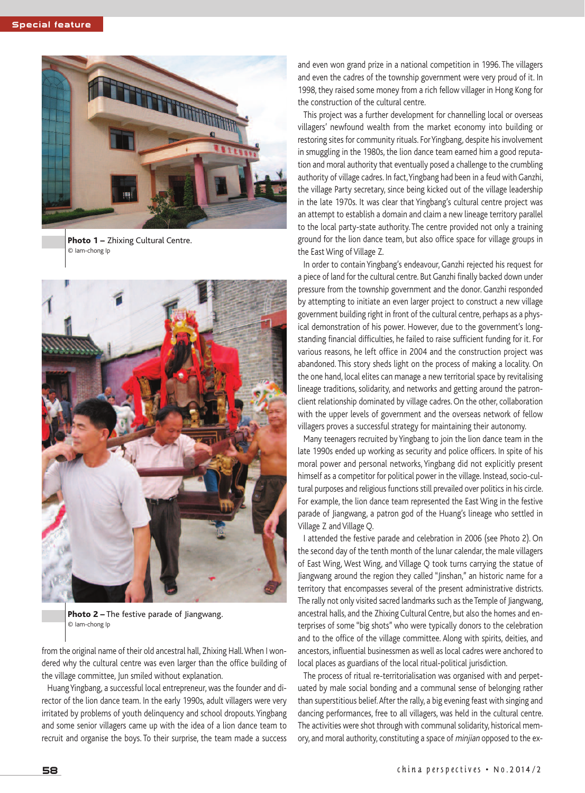

**Photo 1 –** Zhixing Cultural Centre. © Iam-chong Ip



**Photo 2 –** The festive parade of Jiangwang. © Iam-chong Ip

from the original name of their old ancestral hall, Zhixing Hall.When I wondered why the cultural centre was even larger than the office building of the village committee, Jun smiled without explanation.

HuangYingbang, a successful local entrepreneur, was the founder and director of the lion dance team. In the early 1990s, adult villagers were very irritated by problems of youth delinquency and school dropouts.Yingbang and some senior villagers came up with the idea of a lion dance team to recruit and organise the boys. To their surprise, the team made a success

and even won grand prize in a national competition in 1996. The villagers and even the cadres of the township government were very proud of it. In 1998, they raised some money from a rich fellow villager in Hong Kong for the construction of the cultural centre.

This project was a further development for channelling local or overseas villagers' newfound wealth from the market economy into building or restoring sites for community rituals. ForYingbang, despite his involvement in smuggling in the 1980s, the lion dance team earned him a good reputation and moral authority that eventually posed a challenge to the crumbling authority of village cadres. In fact,Yingbang had been in a feud with Ganzhi, the village Party secretary, since being kicked out of the village leadership in the late 1970s. It was clear that Yingbang's cultural centre project was an attempt to establish a domain and claim a new lineage territory parallel to the local party-state authority. The centre provided not only a training ground for the lion dance team, but also office space for village groups in the East Wing of Village Z.

In order to contain Yingbang's endeavour, Ganzhi rejected his request for a piece of land for the cultural centre. But Ganzhi finally backed down under pressure from the township government and the donor. Ganzhi responded by attempting to initiate an even larger project to construct a new village government building right in front of the cultural centre, perhaps as a physical demonstration of his power. However, due to the government's longstanding financial difficulties, he failed to raise sufficient funding for it. For various reasons, he left office in 2004 and the construction project was abandoned. This story sheds light on the process of making a locality. On the one hand, local elites can manage a new territorial space by revitalising lineage traditions, solidarity, and networks and getting around the patronclient relationship dominated by village cadres. On the other, collaboration with the upper levels of government and the overseas network of fellow villagers proves a successful strategy for maintaining their autonomy.

Many teenagers recruited by Yingbang to join the lion dance team in the late 1990s ended up working as security and police officers. In spite of his moral power and personal networks, Yingbang did not explicitly present himself as a competitor for political power in the village. Instead, socio-cultural purposes and religious functions still prevailed over politics in his circle. For example, the lion dance team represented the East Wing in the festive parade of Jiangwang, a patron god of the Huang's lineage who settled in Village Z and Village Q.

I attended the festive parade and celebration in 2006 (see Photo 2). On the second day of the tenth month of the lunar calendar, the male villagers of East Wing, West Wing, and Village Q took turns carrying the statue of Jiangwang around the region they called "Jinshan," an historic name for a territory that encompasses several of the present administrative districts. The rally not only visited sacred landmarks such as the Temple of Jiangwang, ancestral halls, and the Zhixing Cultural Centre, but also the homes and enterprises of some "big shots" who were typically donors to the celebration and to the office of the village committee. Along with spirits, deities, and ancestors, influential businessmen as well as local cadres were anchored to local places as guardians of the local ritual-political jurisdiction.

The process of ritual re-territorialisation was organised with and perpetuated by male social bonding and a communal sense of belonging rather than superstitious belief.After the rally, a big evening feast with singing and dancing performances, free to all villagers, was held in the cultural centre. The activities were shot through with communal solidarity, historical memory, and moral authority, constituting a space of minjian opposed to the ex-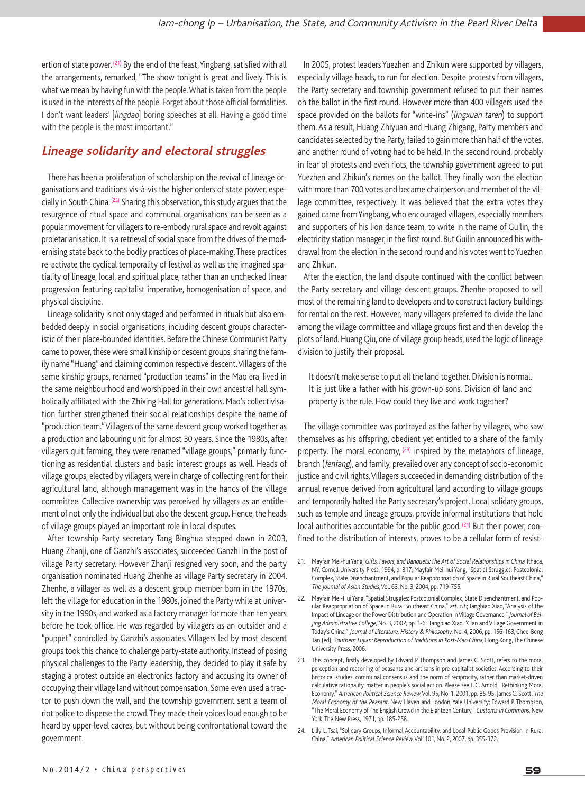ertion of state power.  $(21)$  By the end of the feast, Yingbang, satisfied with all the arrangements, remarked, "The show tonight is great and lively. This is what we mean by having fun with the people.What is taken from the people is used in the interests of the people. Forget about those official formalities. I don't want leaders' [lingdao] boring speeches at all. Having a good time with the people is the most important."

### **Lineage solidarity and electoral struggles**

There has been a proliferation of scholarship on the revival of lineage organisations and traditions vis-à-vis the higher orders of state power, especially in South China. <sup>(22)</sup> Sharing this observation, this study argues that the resurgence of ritual space and communal organisations can be seen as a popular movement for villagers to re-embody rural space and revolt against proletarianisation. It is a retrieval of social space from the drives of the modernising state back to the bodily practices of place-making.These practices re-activate the cyclical temporality of festival as well as the imagined spatiality of lineage, local, and spiritual place, rather than an unchecked linear progression featuring capitalist imperative, homogenisation of space, and physical discipline.

Lineage solidarity is not only staged and performed in rituals but also embedded deeply in social organisations, including descent groups characteristic of their place-bounded identities. Before the Chinese Communist Party came to power, these were small kinship or descent groups, sharing the family name "Huang" and claiming common respective descent.Villagers of the same kinship groups, renamed "production teams" in the Mao era, lived in the same neighbourhood and worshipped in their own ancestral hall symbolically affiliated with the Zhixing Hall for generations. Mao's collectivisation further strengthened their social relationships despite the name of "production team."Villagers of the same descent group worked together as a production and labouring unit for almost 30 years. Since the 1980s, after villagers quit farming, they were renamed "village groups," primarily functioning as residential clusters and basic interest groups as well. Heads of village groups, elected by villagers, were in charge of collecting rent for their agricultural land, although management was in the hands of the village committee. Collective ownership was perceived by villagers as an entitlement of not only the individual but also the descent group. Hence, the heads of village groups played an important role in local disputes.

After township Party secretary Tang Binghua stepped down in 2003, Huang Zhanji, one of Ganzhi's associates, succeeded Ganzhi in the post of village Party secretary. However Zhanji resigned very soon, and the party organisation nominated Huang Zhenhe as village Party secretary in 2004. Zhenhe, a villager as well as a descent group member born in the 1970s, left the village for education in the 1980s, joined the Party while at university in the 1990s, and worked as a factory manager for more than ten years before he took office. He was regarded by villagers as an outsider and a "puppet" controlled by Ganzhi's associates. Villagers led by most descent groups took this chance to challenge party-state authority. Instead of posing physical challenges to the Party leadership, they decided to play it safe by staging a protest outside an electronics factory and accusing its owner of occupying their village land without compensation. Some even used a tractor to push down the wall, and the township government sent a team of riot police to disperse the crowd.They made their voices loud enough to be heard by upper-level cadres, but without being confrontational toward the government.

In 2005, protest leaders Yuezhen and Zhikun were supported by villagers, especially village heads, to run for election. Despite protests from villagers, the Party secretary and township government refused to put their names on the ballot in the first round. However more than 400 villagers used the space provided on the ballots for "write-ins" (lingxuan taren) to support them. As a result, Huang Zhiyuan and Huang Zhigang, Party members and candidates selected by the Party, failed to gain more than half of the votes, and another round of voting had to be held. In the second round, probably in fear of protests and even riots, the township government agreed to put Yuezhen and Zhikun's names on the ballot. They finally won the election with more than 700 votes and became chairperson and member of the village committee, respectively. It was believed that the extra votes they gained came fromYingbang, who encouraged villagers, especially members and supporters of his lion dance team, to write in the name of Guilin, the electricity station manager, in the first round. But Guilin announced his withdrawal from the election in the second round and his votes went to Yuezhen and Zhikun.

After the election, the land dispute continued with the conflict between the Party secretary and village descent groups. Zhenhe proposed to sell most of the remaining land to developers and to construct factory buildings for rental on the rest. However, many villagers preferred to divide the land among the village committee and village groups first and then develop the plots of land. Huang Qiu, one of village group heads, used the logic of lineage division to justify their proposal.

It doesn't make sense to put all the land together. Division is normal. It is just like a father with his grown-up sons. Division of land and property is the rule. How could they live and work together?

The village committee was portrayed as the father by villagers, who saw themselves as his offspring, obedient yet entitled to a share of the family property. The moral economy,  $(23)$  inspired by the metaphors of lineage, branch (fenfang), and family, prevailed over any concept of socio-economic justice and civil rights. Villagers succeeded in demanding distribution of the annual revenue derived from agricultural land according to village groups and temporarily halted the Party secretary's project. Local solidary groups, such as temple and lineage groups, provide informal institutions that hold local authorities accountable for the public good.  $(24)$  But their power, confined to the distribution of interests, proves to be a cellular form of resist-

- 21. Mayfair Mei-hui Yang, Gifts, Favors, and Banquets: The Art of Social Relationships in China, Ithaca, NY, Cornell University Press, 1994, p. 317; Mayfair Mei-hui Yang,"Spatial Struggles: Postcolonial Complex, State Disenchantment, and Popular Reappropriation of Space in Rural Southeast China," The Journal of Asian Studies, Vol. 63, No. 3, 2004, pp. 719-755.
- 22. Mayfair Mei-Hui Yang, "Spatial Struggles: Postcolonial Complex, State Disenchantment, and Popular Reappropriation of Space in Rural Southeast China," art. cit.; Tangbiao Xiao, "Analysis of the Impact of Lineage on the Power Distribution and Operation in Village Governance," Journal of Beijing Administrative College, No. 3, 2002, pp. 1-6; Tangbiao Xiao, "Clan and Village Government in Today's China," Journal of Literature, History & Philosophy, No. 4, 2006, pp. 156-163; Chee-Beng Tan (ed), Southern Fujian: Reproduction of Traditions in Post-Mao China, Hong Kong, The Chinese University Press, 2006.
- 23. This concept, firstly developed by Edward P. Thompson and James C. Scott, refers to the moral perception and reasoning of peasants and artisans in pre-capitalist societies. According to their historical studies, communal consensus and the norm of reciprocity, rather than market-driven calculative rationality, matter in people's social action. Please see T. C. Arnold,"Rethinking Moral Economy," American Political Science Review,Vol. 95, No. 1, 2001, pp. 85-95; James C. Scott, The Moral Economy of the Peasant, New Haven and London, Yale University; Edward P. Thompson, "The Moral Economy of The English Crowd in the Eighteen Century," Customs in Commons, New York, The New Press, 1971, pp. 185-258.
- 24. Lilly L. Tsai,"Solidary Groups, Informal Accountability, and Local Public Goods Provision in Rural China," American Political Science Review,Vol. 101, No. 2, 2007, pp. 355-372.